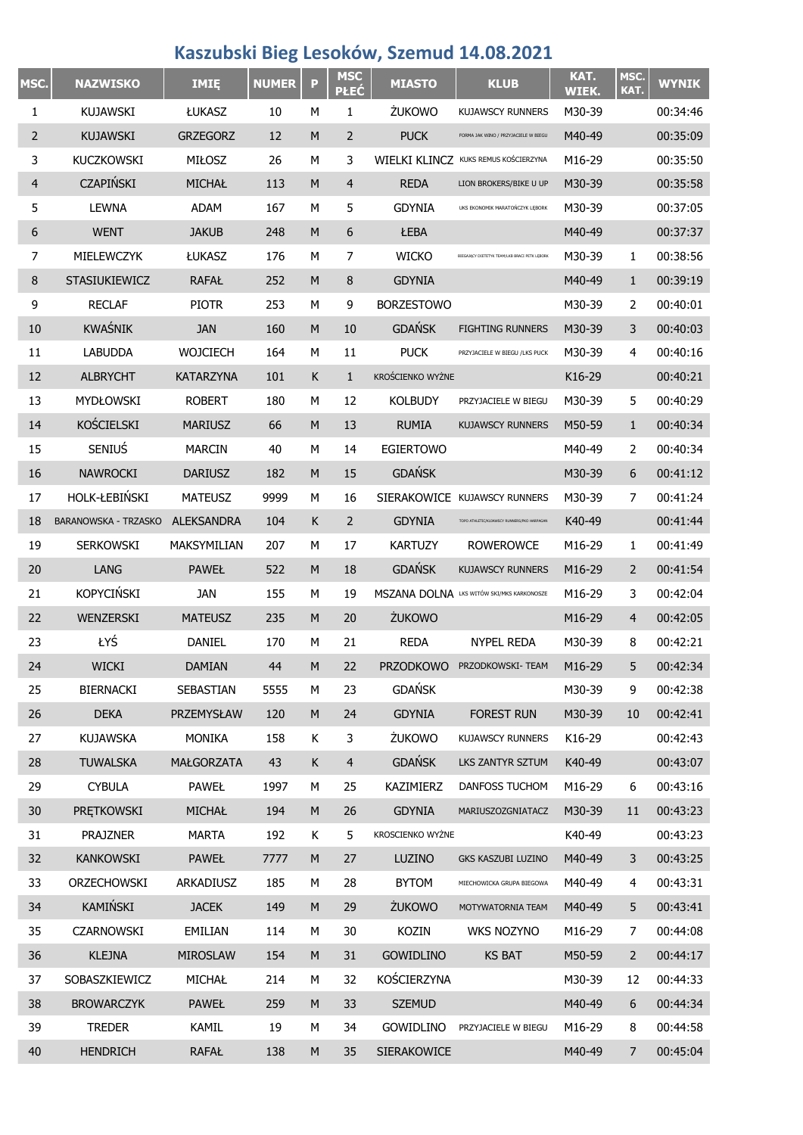## **Kaszubski Bieg Lesoków, Szemud 14.08.2021**

| MSC.           | <b>NAZWISKO</b>             | <b>IMIE</b>       | <b>NUMER</b> | P | <b>MSC</b><br><b>PŁEĆ</b> | <b>MIASTO</b>      | <b>KLUB</b>                                   | KAT.<br>WIEK. | MSC.<br>KAT.   | <b>WYNIK</b> |
|----------------|-----------------------------|-------------------|--------------|---|---------------------------|--------------------|-----------------------------------------------|---------------|----------------|--------------|
| 1              | <b>KUJAWSKI</b>             | ŁUKASZ            | 10           | M | 1                         | ŻUKOWO             | <b>KUJAWSCY RUNNERS</b>                       | M30-39        |                | 00:34:46     |
| 2              | <b>KUJAWSKI</b>             | <b>GRZEGORZ</b>   | 12           | M | $\overline{2}$            | <b>PUCK</b>        | FORMA JAK WINO / PRZYJACIELE W BIEGU          | M40-49        |                | 00:35:09     |
| 3              | <b>KUCZKOWSKI</b>           | <b>MIŁOSZ</b>     | 26           | M | 3                         |                    | WIELKI KLINCZ KUKS REMUS KOŚCIERZYNA          | M16-29        |                | 00:35:50     |
| $\overline{4}$ | <b>CZAPIŃSKI</b>            | <b>MICHAŁ</b>     | 113          | M | 4                         | <b>REDA</b>        | LION BROKERS/BIKE U UP                        | M30-39        |                | 00:35:58     |
| 5              | <b>LEWNA</b>                | <b>ADAM</b>       | 167          | М | 5                         | <b>GDYNIA</b>      | UKS EKONOMIK MARATOŃCZYK LĘBORK               | M30-39        |                | 00:37:05     |
| 6              | <b>WENT</b>                 | <b>JAKUB</b>      | 248          | M | 6                         | ŁEBA               |                                               | M40-49        |                | 00:37:37     |
| $\overline{7}$ | MIELEWCZYK                  | ŁUKASZ            | 176          | М | $\overline{7}$            | <b>WICKO</b>       | BIEGAJACY DIETETYK TEAM/LKB BRACI PETK LEBORK | M30-39        | 1              | 00:38:56     |
| 8              | <b>STASIUKIEWICZ</b>        | <b>RAFAŁ</b>      | 252          | M | 8                         | <b>GDYNIA</b>      |                                               | M40-49        | $\mathbf{1}$   | 00:39:19     |
| 9              | <b>RECLAF</b>               | <b>PIOTR</b>      | 253          | М | 9                         | <b>BORZESTOWO</b>  |                                               | M30-39        | 2              | 00:40:01     |
| 10             | <b>KWAŚNIK</b>              | <b>JAN</b>        | 160          | M | 10                        | <b>GDAŃSK</b>      | <b>FIGHTING RUNNERS</b>                       | M30-39        | 3              | 00:40:03     |
| 11             | <b>LABUDDA</b>              | WOJCIECH          | 164          | М | 11                        | <b>PUCK</b>        | PRZYJACIELE W BIEGU /LKS PUCK                 | M30-39        | 4              | 00:40:16     |
| 12             | <b>ALBRYCHT</b>             | <b>KATARZYNA</b>  | 101          | K | $\mathbf{1}$              | KROŚCIENKO WYŻNE   |                                               | K16-29        |                | 00:40:21     |
| 13             | <b>MYDŁOWSKI</b>            | <b>ROBERT</b>     | 180          | М | 12                        | <b>KOLBUDY</b>     | PRZYJACIELE W BIEGU                           | M30-39        | 5              | 00:40:29     |
| 14             | <b>KOŚCIELSKI</b>           | <b>MARIUSZ</b>    | 66           | M | 13                        | <b>RUMIA</b>       | <b>KUJAWSCY RUNNERS</b>                       | M50-59        | $\mathbf{1}$   | 00:40:34     |
| 15             | SENIUŚ                      | <b>MARCIN</b>     | 40           | М | 14                        | <b>EGIERTOWO</b>   |                                               | M40-49        | 2              | 00:40:34     |
| 16             | <b>NAWROCKI</b>             | <b>DARIUSZ</b>    | 182          | M | 15                        | <b>GDAŃSK</b>      |                                               | M30-39        | 6              | 00:41:12     |
| 17             | HOLK-ŁEBIŃSKI               | <b>MATEUSZ</b>    | 9999         | М | 16                        |                    | SIERAKOWICE KUJAWSCY RUNNERS                  | M30-39        | 7              | 00:41:24     |
| 18             | <b>BARANOWSKA - TRZASKO</b> | <b>ALEKSANDRA</b> | 104          | K | $\overline{2}$            | <b>GDYNIA</b>      | TOPO ATHLETIC/KUJAWSCY RUNNERS/PKO HARPAGAN   | K40-49        |                | 00:41:44     |
| 19             | <b>SERKOWSKI</b>            | MAKSYMILIAN       | 207          | М | 17                        | <b>KARTUZY</b>     | <b>ROWEROWCE</b>                              | M16-29        | 1              | 00:41:49     |
| 20             | LANG                        | <b>PAWEŁ</b>      | 522          | M | 18                        | <b>GDAŃSK</b>      | <b>KUJAWSCY RUNNERS</b>                       | M16-29        | 2              | 00:41:54     |
| 21             | <b>KOPYCIŃSKI</b>           | JAN               | 155          | М | 19                        |                    | MSZANA DOLNA LKS WITÓW SKI/MKS KARKONOSZE     | M16-29        | 3              | 00:42:04     |
| 22             | WENZERSKI                   | <b>MATEUSZ</b>    | 235          | M | 20                        | ŻUKOWO             |                                               | M16-29        | 4              | 00:42:05     |
| 23             | ŁYŚ                         | <b>DANIEL</b>     | 170          | М | 21                        | <b>REDA</b>        | <b>NYPEL REDA</b>                             | M30-39        | 8              | 00:42:21     |
| 24             | <b>WICKI</b>                | <b>DAMIAN</b>     | 44           | M | 22                        | <b>PRZODKOWO</b>   | PRZODKOWSKI- TEAM                             | M16-29        | 5              | 00:42:34     |
| 25             | <b>BIERNACKI</b>            | SEBASTIAN         | 5555         | М | 23                        | <b>GDAŃSK</b>      |                                               | M30-39        | 9              | 00:42:38     |
| 26             | <b>DEKA</b>                 | PRZEMYSŁAW        | 120          | M | 24                        | <b>GDYNIA</b>      | <b>FOREST RUN</b>                             | M30-39        | 10             | 00:42:41     |
| 27             | <b>KUJAWSKA</b>             | <b>MONIKA</b>     | 158          | K | 3                         | ŻUKOWO             | <b>KUJAWSCY RUNNERS</b>                       | K16-29        |                | 00:42:43     |
| 28             | <b>TUWALSKA</b>             | <b>MAŁGORZATA</b> | 43           | K | $\overline{4}$            | <b>GDAŃSK</b>      | LKS ZANTYR SZTUM                              | K40-49        |                | 00:43:07     |
| 29             | <b>CYBULA</b>               | <b>PAWEŁ</b>      | 1997         | М | 25                        | KAZIMIERZ          | DANFOSS TUCHOM                                | M16-29        | 6              | 00:43:16     |
| 30             | PRETKOWSKI                  | MICHAŁ            | 194          | M | 26                        | <b>GDYNIA</b>      | MARIUSZOZGNIATACZ                             | M30-39        | 11             | 00:43:23     |
| 31             | <b>PRAJZNER</b>             | <b>MARTA</b>      | 192          | Κ | 5                         | KROSCIENKO WYŻNE   |                                               | K40-49        |                | 00:43:23     |
| 32             | KANKOWSKI                   | <b>PAWEŁ</b>      | 7777         | M | 27                        | LUZINO             | GKS KASZUBI LUZINO                            | M40-49        | 3              | 00:43:25     |
| 33             | ORZECHOWSKI                 | ARKADIUSZ         | 185          | М | 28                        | <b>BYTOM</b>       | MIECHOWICKA GRUPA BIEGOWA                     | M40-49        | 4              | 00:43:31     |
| 34             | KAMIŃSKI                    | <b>JACEK</b>      | 149          | M | 29                        | <b>ŻUKOWO</b>      | MOTYWATORNIA TEAM                             | M40-49        | 5              | 00:43:41     |
| 35             | <b>CZARNOWSKI</b>           | EMILIAN           | 114          | М | 30                        | KOZIN              | WKS NOZYNO                                    | M16-29        | 7              | 00:44:08     |
| 36             | <b>KLEJNA</b>               | <b>MIROSLAW</b>   | 154          | M | 31                        | <b>GOWIDLINO</b>   | <b>KS BAT</b>                                 | M50-59        | $\overline{2}$ | 00:44:17     |
| 37             | SOBASZKIEWICZ               | MICHAŁ            | 214          | М | 32                        | KOŚCIERZYNA        |                                               | M30-39        | 12             | 00:44:33     |
| 38             | <b>BROWARCZYK</b>           | <b>PAWEŁ</b>      | 259          | M | 33                        | <b>SZEMUD</b>      |                                               | M40-49        | 6              | 00:44:34     |
| 39             | <b>TREDER</b>               | KAMIL             | 19           | М | 34                        | <b>GOWIDLINO</b>   | PRZYJACIELE W BIEGU                           | M16-29        | 8              | 00:44:58     |
| 40             | <b>HENDRICH</b>             | <b>RAFAŁ</b>      | 138          | M | 35                        | <b>SIERAKOWICE</b> |                                               | M40-49        | $\overline{7}$ | 00:45:04     |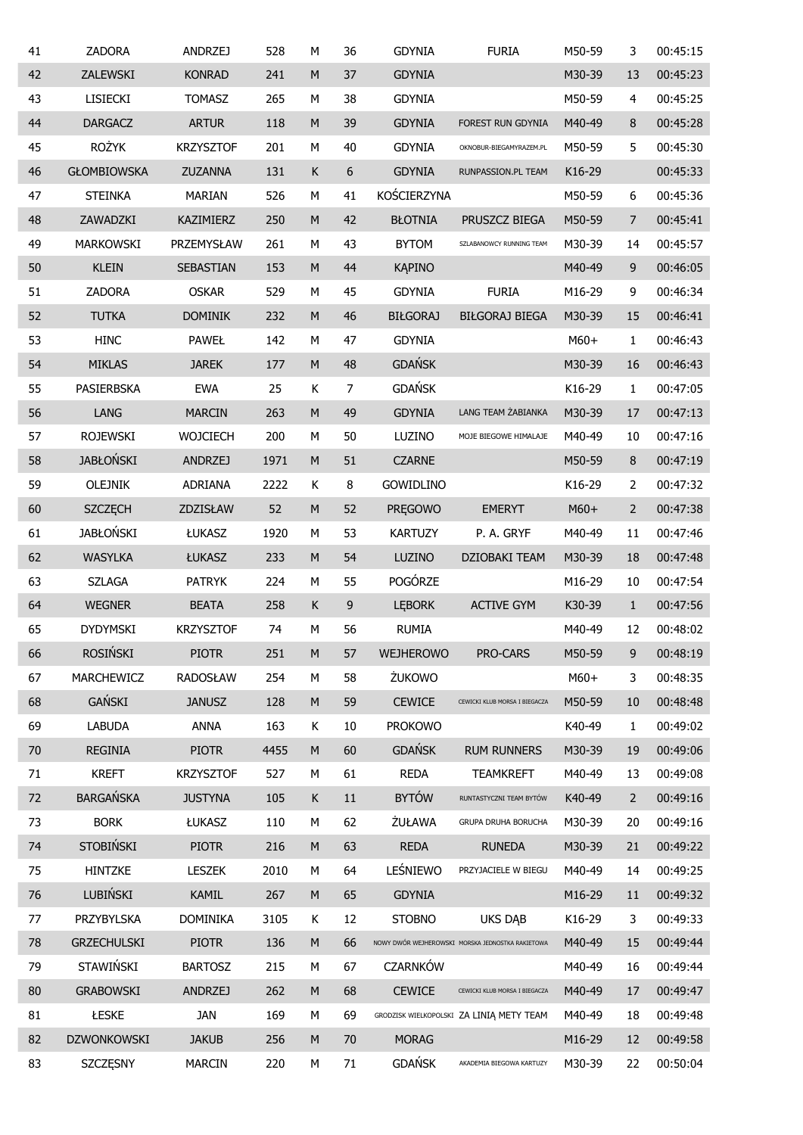| 41 | <b>ZADORA</b>      | ANDRZEJ          | 528  | M         | 36     | <b>GDYNIA</b>    | <b>FURIA</b>                                     | M50-59 | 3              | 00:45:15 |
|----|--------------------|------------------|------|-----------|--------|------------------|--------------------------------------------------|--------|----------------|----------|
| 42 | ZALEWSKI           | <b>KONRAD</b>    | 241  | M         | 37     | <b>GDYNIA</b>    |                                                  | M30-39 | 13             | 00:45:23 |
| 43 | <b>LISIECKI</b>    | <b>TOMASZ</b>    | 265  | М         | 38     | <b>GDYNIA</b>    |                                                  | M50-59 | 4              | 00:45:25 |
| 44 | <b>DARGACZ</b>     | <b>ARTUR</b>     | 118  | M         | 39     | <b>GDYNIA</b>    | FOREST RUN GDYNIA                                | M40-49 | 8              | 00:45:28 |
| 45 | <b>ROŻYK</b>       | <b>KRZYSZTOF</b> | 201  | М         | 40     | <b>GDYNIA</b>    | OKNOBUR-BIEGAMYRAZEM.PL                          | M50-59 | 5              | 00:45:30 |
| 46 | <b>GŁOMBIOWSKA</b> | <b>ZUZANNA</b>   | 131  | Κ         | 6      | <b>GDYNIA</b>    | RUNPASSION.PL TEAM                               | K16-29 |                | 00:45:33 |
| 47 | <b>STEINKA</b>     | <b>MARIAN</b>    | 526  | М         | 41     | KOŚCIERZYNA      |                                                  | M50-59 | 6              | 00:45:36 |
| 48 | ZAWADZKI           | KAZIMIERZ        | 250  | M         | 42     | <b>BŁOTNIA</b>   | PRUSZCZ BIEGA                                    | M50-59 | 7              | 00:45:41 |
| 49 | MARKOWSKI          | PRZEMYSŁAW       | 261  | М         | 43     | <b>BYTOM</b>     | SZLABANOWCY RUNNING TEAM                         | M30-39 | 14             | 00:45:57 |
| 50 | <b>KLEIN</b>       | SEBASTIAN        | 153  | M         | 44     | <b>KĄPINO</b>    |                                                  | M40-49 | $\mathsf g$    | 00:46:05 |
| 51 | ZADORA             | <b>OSKAR</b>     | 529  | M         | 45     | <b>GDYNIA</b>    | <b>FURIA</b>                                     | M16-29 | 9              | 00:46:34 |
| 52 | <b>TUTKA</b>       | <b>DOMINIK</b>   | 232  | M         | 46     | <b>BIŁGORAJ</b>  | <b>BIŁGORAJ BIEGA</b>                            | M30-39 | 15             | 00:46:41 |
| 53 | <b>HINC</b>        | <b>PAWEŁ</b>     | 142  | М         | 47     | <b>GDYNIA</b>    |                                                  | M60+   | 1              | 00:46:43 |
| 54 | <b>MIKLAS</b>      | <b>JAREK</b>     | 177  | M         | 48     | <b>GDAŃSK</b>    |                                                  | M30-39 | 16             | 00:46:43 |
| 55 | PASIERBSKA         | <b>EWA</b>       | 25   | Κ         | 7      | <b>GDAŃSK</b>    |                                                  | K16-29 | 1              | 00:47:05 |
| 56 | LANG               | <b>MARCIN</b>    | 263  | M         | 49     | <b>GDYNIA</b>    | LANG TEAM ŻABIANKA                               | M30-39 | 17             | 00:47:13 |
| 57 | <b>ROJEWSKI</b>    | <b>WOJCIECH</b>  | 200  | М         | 50     | LUZINO           | MOJE BIEGOWE HIMALAJE                            | M40-49 | 10             | 00:47:16 |
| 58 | <b>JABŁOŃSKI</b>   | <b>ANDRZEJ</b>   | 1971 | M         | 51     | <b>CZARNE</b>    |                                                  | M50-59 | $\, 8$         | 00:47:19 |
| 59 | <b>OLEJNIK</b>     | <b>ADRIANA</b>   | 2222 | Κ         | $\, 8$ | <b>GOWIDLINO</b> |                                                  | K16-29 | 2              | 00:47:32 |
| 60 | <b>SZCZĘCH</b>     | ZDZISŁAW         | 52   | M         | 52     | PRĘGOWO          | <b>EMERYT</b>                                    | $M60+$ | $\overline{2}$ | 00:47:38 |
| 61 | <b>JABŁOŃSKI</b>   | ŁUKASZ           | 1920 | М         | 53     | <b>KARTUZY</b>   | P. A. GRYF                                       | M40-49 | 11             | 00:47:46 |
| 62 | <b>WASYLKA</b>     | ŁUKASZ           | 233  | M         | 54     | LUZINO           | DZIOBAKI TEAM                                    | M30-39 | 18             | 00:47:48 |
| 63 | <b>SZLAGA</b>      | <b>PATRYK</b>    | 224  | M         | 55     | POGÓRZE          |                                                  | M16-29 | 10             | 00:47:54 |
| 64 | <b>WEGNER</b>      | <b>BEATA</b>     | 258  | K         | 9      | <b>LEBORK</b>    | <b>ACTIVE GYM</b>                                | K30-39 | $1\,$          | 00:47:56 |
| 65 | <b>DYDYMSKI</b>    | <b>KRZYSZTOF</b> | 74   | M         | 56     | <b>RUMIA</b>     |                                                  | M40-49 | 12             | 00:48:02 |
| 66 | <b>ROSIŃSKI</b>    | <b>PIOTR</b>     | 251  | M         | 57     | WEJHEROWO        | PRO-CARS                                         | M50-59 | 9              | 00:48:19 |
| 67 | MARCHEWICZ         | <b>RADOSŁAW</b>  | 254  | M         | 58     | ŻUKOWO           |                                                  | $M60+$ | 3              | 00:48:35 |
| 68 | <b>GAŃSKI</b>      | <b>JANUSZ</b>    | 128  | M         | 59     | <b>CEWICE</b>    | CEWICKI KLUB MORSA I BIEGACZA                    | M50-59 | 10             | 00:48:48 |
| 69 | <b>LABUDA</b>      | <b>ANNA</b>      | 163  | Κ         | 10     | <b>PROKOWO</b>   |                                                  | K40-49 | $\mathbf{1}$   | 00:49:02 |
| 70 | <b>REGINIA</b>     | <b>PIOTR</b>     | 4455 | M         | 60     | <b>GDAŃSK</b>    | <b>RUM RUNNERS</b>                               | M30-39 | 19             | 00:49:06 |
| 71 | <b>KREFT</b>       | <b>KRZYSZTOF</b> | 527  | M         | 61     | <b>REDA</b>      | <b>TEAMKREFT</b>                                 | M40-49 | 13             | 00:49:08 |
| 72 | <b>BARGAŃSKA</b>   | <b>JUSTYNA</b>   | 105  | К         | $11\,$ | <b>BYTÓW</b>     | RUNTASTYCZNI TEAM BYTÓW                          | K40-49 | $\overline{2}$ | 00:49:16 |
| 73 | <b>BORK</b>        | ŁUKASZ           | 110  | M         | 62     | <b>ŻUŁAWA</b>    | GRUPA DRUHA BORUCHA                              | M30-39 | 20             | 00:49:16 |
| 74 | <b>STOBIŃSKI</b>   | <b>PIOTR</b>     | 216  | ${\sf M}$ | 63     | <b>REDA</b>      | <b>RUNEDA</b>                                    | M30-39 | 21             | 00:49:22 |
| 75 | HINTZKE            | LESZEK           | 2010 | M         | 64     | LEŚNIEWO         | PRZYJACIELE W BIEGU                              | M40-49 | 14             | 00:49:25 |
| 76 | LUBIŃSKI           | <b>KAMIL</b>     | 267  | ${\sf M}$ | 65     | <b>GDYNIA</b>    |                                                  | M16-29 | 11             | 00:49:32 |
| 77 | PRZYBYLSKA         | <b>DOMINIKA</b>  | 3105 | Κ         | 12     | <b>STOBNO</b>    | <b>UKS DAB</b>                                   | K16-29 | 3              | 00:49:33 |
| 78 | <b>GRZECHULSKI</b> | <b>PIOTR</b>     | 136  | ${\sf M}$ | 66     |                  | NOWY DWÓR WEJHEROWSKI MORSKA JEDNOSTKA RAKIETOWA | M40-49 | 15             | 00:49:44 |
| 79 | STAWIŃSKI          | <b>BARTOSZ</b>   | 215  | M         | 67     | <b>CZARNKÓW</b>  |                                                  | M40-49 | 16             | 00:49:44 |
| 80 | <b>GRABOWSKI</b>   | <b>ANDRZEJ</b>   | 262  | ${\sf M}$ | 68     | <b>CEWICE</b>    | CEWICKI KLUB MORSA I BIEGACZA                    | M40-49 | 17             | 00:49:47 |
| 81 | ŁESKE              | <b>JAN</b>       | 169  | М         | 69     |                  | GRODZISK WIELKOPOLSKI ZA LINIĄ METY TEAM         | M40-49 | 18             | 00:49:48 |
| 82 | <b>DZWONKOWSKI</b> | <b>JAKUB</b>     | 256  | ${\sf M}$ | 70     | <b>MORAG</b>     |                                                  | M16-29 | 12             | 00:49:58 |
| 83 | SZCZĘSNY           | <b>MARCIN</b>    | 220  | М         | 71     | <b>GDAŃSK</b>    | AKADEMIA BIEGOWA KARTUZY                         | M30-39 | 22             | 00:50:04 |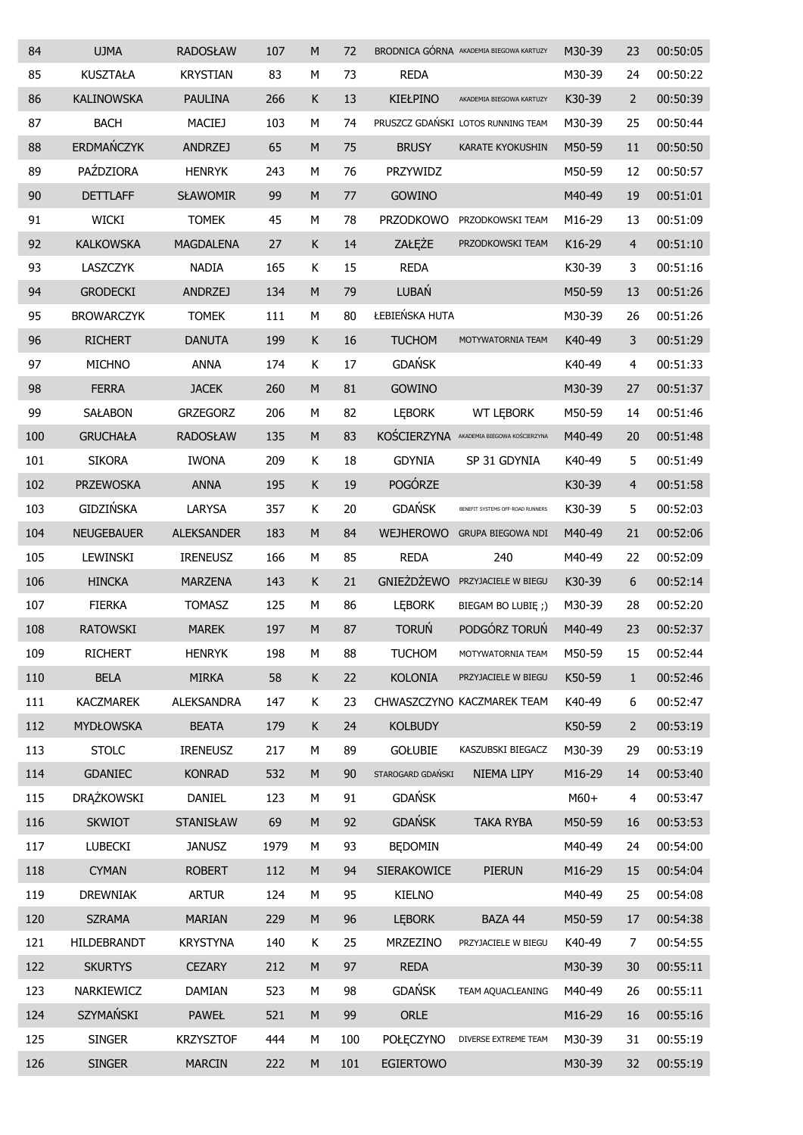| 84  | <b>UJMA</b>       | <b>RADOSŁAW</b>   | 107  | M         | 72  |                    | BRODNICA GÓRNA AKADEMIA BIEGOWA KARTUZY | M30-39 | 23             | 00:50:05 |
|-----|-------------------|-------------------|------|-----------|-----|--------------------|-----------------------------------------|--------|----------------|----------|
| 85  | <b>KUSZTAŁA</b>   | <b>KRYSTIAN</b>   | 83   | М         | 73  | <b>REDA</b>        |                                         | M30-39 | 24             | 00:50:22 |
| 86  | <b>KALINOWSKA</b> | <b>PAULINA</b>    | 266  | Κ         | 13  | <b>KIEŁPINO</b>    | AKADEMIA BIEGOWA KARTUZY                | K30-39 | $\overline{2}$ | 00:50:39 |
| 87  | <b>BACH</b>       | MACIEJ            | 103  | M         | 74  |                    | PRUSZCZ GDAŃSKI LOTOS RUNNING TEAM      | M30-39 | 25             | 00:50:44 |
| 88  | ERDMAŃCZYK        | <b>ANDRZEJ</b>    | 65   | M         | 75  | <b>BRUSY</b>       | <b>KARATE KYOKUSHIN</b>                 | M50-59 | 11             | 00:50:50 |
| 89  | PAŹDZIORA         | <b>HENRYK</b>     | 243  | М         | 76  | PRZYWIDZ           |                                         | M50-59 | 12             | 00:50:57 |
| 90  | <b>DETTLAFF</b>   | <b>SŁAWOMIR</b>   | 99   | M         | 77  | <b>GOWINO</b>      |                                         | M40-49 | 19             | 00:51:01 |
| 91  | <b>WICKI</b>      | <b>TOMEK</b>      | 45   | М         | 78  | <b>PRZODKOWO</b>   | PRZODKOWSKI TEAM                        | M16-29 | 13             | 00:51:09 |
| 92  | <b>KALKOWSKA</b>  | <b>MAGDALENA</b>  | 27   | К         | 14  | ZAŁĘŻE             | PRZODKOWSKI TEAM                        | K16-29 | $\overline{4}$ | 00:51:10 |
| 93  | LASZCZYK          | <b>NADIA</b>      | 165  | K         | 15  | <b>REDA</b>        |                                         | K30-39 | 3              | 00:51:16 |
| 94  | <b>GRODECKI</b>   | <b>ANDRZEJ</b>    | 134  | M         | 79  | LUBAŃ              |                                         | M50-59 | 13             | 00:51:26 |
| 95  | <b>BROWARCZYK</b> | <b>TOMEK</b>      | 111  | M         | 80  | ŁEBIEŃSKA HUTA     |                                         | M30-39 | 26             | 00:51:26 |
| 96  | <b>RICHERT</b>    | <b>DANUTA</b>     | 199  | К         | 16  | <b>TUCHOM</b>      | MOTYWATORNIA TEAM                       | K40-49 | 3              | 00:51:29 |
| 97  | <b>MICHNO</b>     | <b>ANNA</b>       | 174  | К         | 17  | <b>GDAŃSK</b>      |                                         | K40-49 | 4              | 00:51:33 |
| 98  | <b>FERRA</b>      | <b>JACEK</b>      | 260  | M         | 81  | GOWINO             |                                         | M30-39 | 27             | 00:51:37 |
| 99  | <b>SAŁABON</b>    | <b>GRZEGORZ</b>   | 206  | M         | 82  | <b>LEBORK</b>      | <b>WT LEBORK</b>                        | M50-59 | 14             | 00:51:46 |
| 100 | <b>GRUCHAŁA</b>   | <b>RADOSŁAW</b>   | 135  | ${\sf M}$ | 83  | KOŚCIERZYNA        | AKADEMIA BIEGOWA KOŚCIERZYNA            | M40-49 | 20             | 00:51:48 |
| 101 | <b>SIKORA</b>     | <b>IWONA</b>      | 209  | Κ         | 18  | <b>GDYNIA</b>      | SP 31 GDYNIA                            | K40-49 | 5              | 00:51:49 |
| 102 | <b>PRZEWOSKA</b>  | <b>ANNA</b>       | 195  | Κ         | 19  | POGÓRZE            |                                         | K30-39 | $\overline{4}$ | 00:51:58 |
| 103 | GIDZIŃSKA         | LARYSA            | 357  | Κ         | 20  | <b>GDAŃSK</b>      | BENEFIT SYSTEMS OFF-ROAD RUNNERS        | K30-39 | 5              | 00:52:03 |
| 104 | <b>NEUGEBAUER</b> | <b>ALEKSANDER</b> | 183  | M         | 84  | <b>WEJHEROWO</b>   | <b>GRUPA BIEGOWA NDI</b>                | M40-49 | 21             | 00:52:06 |
| 105 | <b>LEWINSKI</b>   | <b>IRENEUSZ</b>   | 166  | М         | 85  | <b>REDA</b>        | 240                                     | M40-49 | 22             | 00:52:09 |
| 106 | <b>HINCKA</b>     | <b>MARZENA</b>    | 143  | K         | 21  | <b>GNIEŻDŻEWO</b>  | PRZYJACIELE W BIEGU                     | K30-39 | 6              | 00:52:14 |
| 107 | <b>FIERKA</b>     | <b>TOMASZ</b>     | 125  | М         | 86  | <b>LEBORK</b>      | BIEGAM BO LUBIE ;)                      | M30-39 | 28             | 00:52:20 |
| 108 | <b>RATOWSKI</b>   | <b>MAREK</b>      | 197  | M         | 87  | <b>TORUŃ</b>       | PODGÓRZ TORUŃ                           | M40-49 | 23             | 00:52:37 |
| 109 | <b>RICHERT</b>    | <b>HENRYK</b>     | 198  | М         | 88  | <b>TUCHOM</b>      | MOTYWATORNIA TEAM                       | M50-59 | 15             | 00:52:44 |
| 110 | <b>BELA</b>       | <b>MIRKA</b>      | 58   | Κ         | 22  | <b>KOLONIA</b>     | PRZYJACIELE W BIEGU                     | K50-59 | $\mathbf{1}$   | 00:52:46 |
| 111 | <b>KACZMAREK</b>  | <b>ALEKSANDRA</b> | 147  | K         | 23  |                    | CHWASZCZYNO KACZMAREK TEAM              | K40-49 | 6              | 00:52:47 |
| 112 | <b>MYDŁOWSKA</b>  | <b>BEATA</b>      | 179  | Κ         | 24  | <b>KOLBUDY</b>     |                                         | K50-59 | $\overline{2}$ | 00:53:19 |
| 113 | <b>STOLC</b>      | <b>IRENEUSZ</b>   | 217  | М         | 89  | <b>GOŁUBIE</b>     | KASZUBSKI BIEGACZ                       | M30-39 | 29             | 00:53:19 |
| 114 | <b>GDANIEC</b>    | <b>KONRAD</b>     | 532  | ${\sf M}$ | 90  | STAROGARD GDAŃSKI  | NIEMA LIPY                              | M16-29 | 14             | 00:53:40 |
| 115 | <b>DRĄŻKOWSKI</b> | DANIEL            | 123  | М         | 91  | <b>GDAŃSK</b>      |                                         | $M60+$ | 4              | 00:53:47 |
| 116 | <b>SKWIOT</b>     | STANISŁAW         | 69   | ${\sf M}$ | 92  | <b>GDAŃSK</b>      | <b>TAKA RYBA</b>                        | M50-59 | 16             | 00:53:53 |
| 117 | <b>LUBECKI</b>    | <b>JANUSZ</b>     | 1979 | М         | 93  | <b>BEDOMIN</b>     |                                         | M40-49 | 24             | 00:54:00 |
| 118 | <b>CYMAN</b>      | <b>ROBERT</b>     | 112  | ${\sf M}$ | 94  | <b>SIERAKOWICE</b> | PIERUN                                  | M16-29 | 15             | 00:54:04 |
| 119 | <b>DREWNIAK</b>   | <b>ARTUR</b>      | 124  | М         | 95  | <b>KIELNO</b>      |                                         | M40-49 | 25             | 00:54:08 |
| 120 | <b>SZRAMA</b>     | <b>MARIAN</b>     | 229  | ${\sf M}$ | 96  | <b>LEBORK</b>      | BAZA 44                                 | M50-59 | 17             | 00:54:38 |
| 121 | HILDEBRANDT       | <b>KRYSTYNA</b>   | 140  | K         | 25  | <b>MRZEZINO</b>    | PRZYJACIELE W BIEGU                     | K40-49 | 7              | 00:54:55 |
| 122 | <b>SKURTYS</b>    | <b>CEZARY</b>     | 212  | ${\sf M}$ | 97  | <b>REDA</b>        |                                         | M30-39 | 30             | 00:55:11 |
| 123 | NARKIEWICZ        | <b>DAMIAN</b>     | 523  | М         | 98  | <b>GDAŃSK</b>      | TEAM AQUACLEANING                       | M40-49 | 26             | 00:55:11 |
| 124 | SZYMAŃSKI         | <b>PAWEŁ</b>      | 521  | ${\sf M}$ | 99  | ORLE               |                                         | M16-29 | 16             | 00:55:16 |
| 125 | <b>SINGER</b>     | <b>KRZYSZTOF</b>  | 444  | М         | 100 | <b>POŁĘCZYNO</b>   | DIVERSE EXTREME TEAM                    | M30-39 | 31             | 00:55:19 |
| 126 | <b>SINGER</b>     | <b>MARCIN</b>     | 222  | ${\sf M}$ | 101 | <b>EGIERTOWO</b>   |                                         | M30-39 | 32             | 00:55:19 |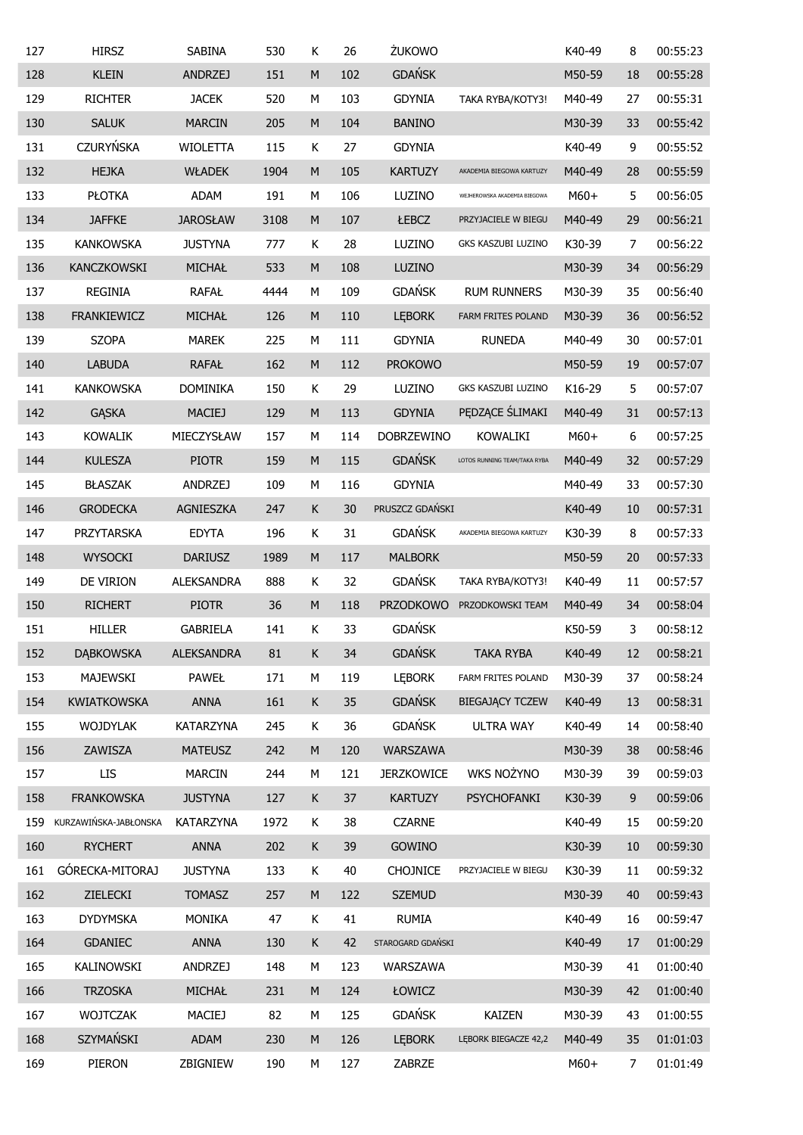| 127 | <b>HIRSZ</b>          | <b>SABINA</b>     | 530  | Κ           | 26  | ŻUKOWO            |                              | K40-49 | 8              | 00:55:23 |
|-----|-----------------------|-------------------|------|-------------|-----|-------------------|------------------------------|--------|----------------|----------|
| 128 | <b>KLEIN</b>          | <b>ANDRZEJ</b>    | 151  | M           | 102 | <b>GDAŃSK</b>     |                              | M50-59 | 18             | 00:55:28 |
| 129 | <b>RICHTER</b>        | <b>JACEK</b>      | 520  | М           | 103 | <b>GDYNIA</b>     | TAKA RYBA/KOTY3!             | M40-49 | 27             | 00:55:31 |
| 130 | <b>SALUK</b>          | <b>MARCIN</b>     | 205  | M           | 104 | <b>BANINO</b>     |                              | M30-39 | 33             | 00:55:42 |
| 131 | <b>CZURYŃSKA</b>      | <b>WIOLETTA</b>   | 115  | К           | 27  | <b>GDYNIA</b>     |                              | K40-49 | 9              | 00:55:52 |
| 132 | <b>HEJKA</b>          | <b>WŁADEK</b>     | 1904 | M           | 105 | <b>KARTUZY</b>    | AKADEMIA BIEGOWA KARTUZY     | M40-49 | 28             | 00:55:59 |
| 133 | <b>PŁOTKA</b>         | <b>ADAM</b>       | 191  | М           | 106 | LUZINO            | WEJHEROWSKA AKADEMIA BIEGOWA | M60+   | 5              | 00:56:05 |
| 134 | <b>JAFFKE</b>         | <b>JAROSŁAW</b>   | 3108 | M           | 107 | ŁEBCZ             | PRZYJACIELE W BIEGU          | M40-49 | 29             | 00:56:21 |
| 135 | <b>KANKOWSKA</b>      | <b>JUSTYNA</b>    | 777  | К           | 28  | LUZINO            | GKS KASZUBI LUZINO           | K30-39 | $\overline{7}$ | 00:56:22 |
| 136 | KANCZKOWSKI           | MICHAŁ            | 533  | M           | 108 | LUZINO            |                              | M30-39 | 34             | 00:56:29 |
| 137 | <b>REGINIA</b>        | <b>RAFAŁ</b>      | 4444 | М           | 109 | <b>GDAŃSK</b>     | <b>RUM RUNNERS</b>           | M30-39 | 35             | 00:56:40 |
| 138 | <b>FRANKIEWICZ</b>    | MICHAŁ            | 126  | M           | 110 | <b>LEBORK</b>     | FARM FRITES POLAND           | M30-39 | 36             | 00:56:52 |
| 139 | <b>SZOPA</b>          | <b>MAREK</b>      | 225  | М           | 111 | <b>GDYNIA</b>     | <b>RUNEDA</b>                | M40-49 | 30             | 00:57:01 |
| 140 | <b>LABUDA</b>         | <b>RAFAŁ</b>      | 162  | ${\sf M}$   | 112 | <b>PROKOWO</b>    |                              | M50-59 | 19             | 00:57:07 |
| 141 | <b>KANKOWSKA</b>      | <b>DOMINIKA</b>   | 150  | Κ           | 29  | LUZINO            | GKS KASZUBI LUZINO           | K16-29 | 5              | 00:57:07 |
| 142 | <b>GĄSKA</b>          | <b>MACIEJ</b>     | 129  | ${\sf M}$   | 113 | <b>GDYNIA</b>     | PEDZĄCE ŚLIMAKI              | M40-49 | 31             | 00:57:13 |
| 143 | <b>KOWALIK</b>        | MIECZYSŁAW        | 157  | М           | 114 | <b>DOBRZEWINO</b> | KOWALIKI                     | M60+   | 6              | 00:57:25 |
| 144 | <b>KULESZA</b>        | <b>PIOTR</b>      | 159  | M           | 115 | <b>GDAŃSK</b>     | LOTOS RUNNING TEAM/TAKA RYBA | M40-49 | 32             | 00:57:29 |
| 145 | <b>BŁASZAK</b>        | <b>ANDRZEJ</b>    | 109  | М           | 116 | <b>GDYNIA</b>     |                              | M40-49 | 33             | 00:57:30 |
| 146 | <b>GRODECKA</b>       | AGNIESZKA         | 247  | $\sf K$     | 30  | PRUSZCZ GDAŃSKI   |                              | K40-49 | 10             | 00:57:31 |
| 147 | PRZYTARSKA            | <b>EDYTA</b>      | 196  | К           | 31  | <b>GDAŃSK</b>     | AKADEMIA BIEGOWA KARTUZY     | K30-39 | 8              | 00:57:33 |
| 148 | <b>WYSOCKI</b>        | <b>DARIUSZ</b>    | 1989 | ${\sf M}$   | 117 | <b>MALBORK</b>    |                              | M50-59 | 20             | 00:57:33 |
| 149 | DE VIRION             | <b>ALEKSANDRA</b> | 888  | К           | 32  | <b>GDAŃSK</b>     | TAKA RYBA/KOTY3!             | K40-49 | 11             | 00:57:57 |
| 150 | <b>RICHERT</b>        | <b>PIOTR</b>      | 36   | ${\sf M}$   | 118 | <b>PRZODKOWO</b>  | PRZODKOWSKI TEAM             | M40-49 | 34             | 00:58:04 |
| 151 | <b>HILLER</b>         | <b>GABRIELA</b>   | 141  | K           | 33  | <b>GDAŃSK</b>     |                              | K50-59 | 3              | 00:58:12 |
| 152 | <b>DĄBKOWSKA</b>      | <b>ALEKSANDRA</b> | 81   | Κ           | 34  | <b>GDAŃSK</b>     | <b>TAKA RYBA</b>             | K40-49 | 12             | 00:58:21 |
| 153 | MAJEWSKI              | <b>PAWEŁ</b>      | 171  | М           | 119 | <b>LEBORK</b>     | FARM FRITES POLAND           | M30-39 | 37             | 00:58:24 |
| 154 | <b>KWIATKOWSKA</b>    | <b>ANNA</b>       | 161  | K           | 35  | <b>GDAŃSK</b>     | <b>BIEGAJĄCY TCZEW</b>       | K40-49 | 13             | 00:58:31 |
| 155 | <b>WOJDYLAK</b>       | KATARZYNA         | 245  | K           | 36  | <b>GDAŃSK</b>     | <b>ULTRA WAY</b>             | K40-49 | 14             | 00:58:40 |
| 156 | ZAWISZA               | <b>MATEUSZ</b>    | 242  | M           | 120 | <b>WARSZAWA</b>   |                              | M30-39 | 38             | 00:58:46 |
| 157 | <b>LIS</b>            | <b>MARCIN</b>     | 244  | М           | 121 | <b>JERZKOWICE</b> | WKS NOŻYNO                   | M30-39 | 39             | 00:59:03 |
| 158 | <b>FRANKOWSKA</b>     | <b>JUSTYNA</b>    | 127  | K           | 37  | <b>KARTUZY</b>    | PSYCHOFANKI                  | K30-39 | $\mathsf 9$    | 00:59:06 |
| 159 | KURZAWIŃSKA-JABŁONSKA | <b>KATARZYNA</b>  | 1972 | K           | 38  | <b>CZARNE</b>     |                              | K40-49 | 15             | 00:59:20 |
| 160 | <b>RYCHERT</b>        | <b>ANNA</b>       | 202  | K           | 39  | GOWINO            |                              | K30-39 | 10             | 00:59:30 |
| 161 | GÓRECKA-MITORAJ       | <b>JUSTYNA</b>    | 133  | K           | 40  | <b>CHOJNICE</b>   | PRZYJACIELE W BIEGU          | K30-39 | 11             | 00:59:32 |
| 162 | ZIELECKI              | <b>TOMASZ</b>     | 257  | M           | 122 | <b>SZEMUD</b>     |                              | M30-39 | 40             | 00:59:43 |
| 163 | <b>DYDYMSKA</b>       | <b>MONIKA</b>     | 47   | K           | 41  | <b>RUMIA</b>      |                              | K40-49 | 16             | 00:59:47 |
| 164 | <b>GDANIEC</b>        | <b>ANNA</b>       | 130  | $\mathsf K$ | 42  | STAROGARD GDAŃSKI |                              | K40-49 | 17             | 01:00:29 |
| 165 | KALINOWSKI            | <b>ANDRZEJ</b>    | 148  | М           | 123 | WARSZAWA          |                              | M30-39 | 41             | 01:00:40 |
| 166 | <b>TRZOSKA</b>        | MICHAŁ            | 231  | M           | 124 | ŁOWICZ            |                              | M30-39 | 42             | 01:00:40 |
| 167 | <b>WOJTCZAK</b>       | <b>MACIEJ</b>     | 82   | М           | 125 | <b>GDAŃSK</b>     | <b>KAIZEN</b>                | M30-39 | 43             | 01:00:55 |
| 168 | SZYMAŃSKI             | <b>ADAM</b>       | 230  | M           | 126 | <b>LEBORK</b>     | LEBORK BIEGACZE 42,2         | M40-49 | 35             | 01:01:03 |
| 169 | PIERON                | ZBIGNIEW          | 190  | М           | 127 | ZABRZE            |                              | $M60+$ | 7              | 01:01:49 |